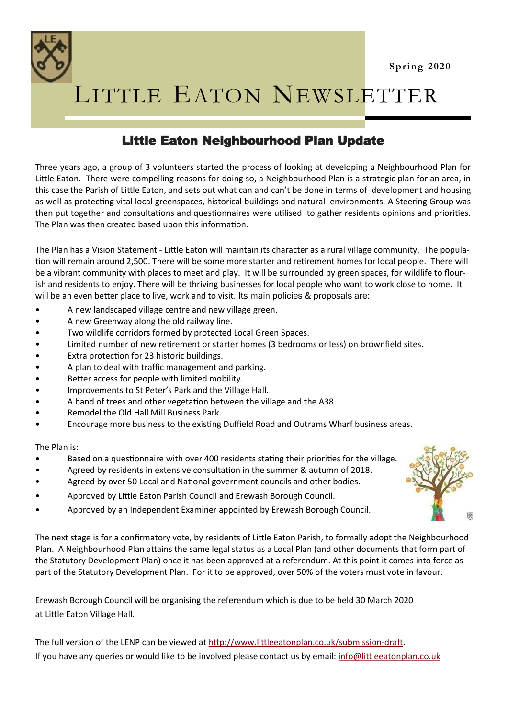

LITTLE EATON NEWSLETTER

## Little Eaton Neighbourhood Plan Update

Three years ago, a group of 3 volunteers started the process of looking at developing a Neighbourhood Plan for Little Eaton. There were compelling reasons for doing so, a Neighbourhood Plan is a strategic plan for an area, in this case the Parish of Little Eaton, and sets out what can and can't be done in terms of development and housing as well as protecting vital local greenspaces, historical buildings and natural environments. A Steering Group was then put together and consultations and questionnaires were utilised to gather residents opinions and priorities. The Plan was then created based upon this information.

The Plan has a Vision Statement - Little Eaton will maintain its character as a rural village community. The population will remain around 2,500. There will be some more starter and retirement homes for local people. There will be a vibrant community with places to meet and play. It will be surrounded by green spaces, for wildlife to flourish and residents to enjoy. There will be thriving businesses for local people who want to work close to home. It will be an even better place to live, work and to visit. Its main policies & proposals are:

- A new landscaped village centre and new village green.
- A new Greenway along the old railway line.
- Two wildlife corridors formed by protected Local Green Spaces.
- Limited number of new retirement or starter homes (3 bedrooms or less) on brownfield sites.
- Extra protection for 23 historic buildings.
- A plan to deal with traffic management and parking.
- Better access for people with limited mobility.
- Improvements to St Peter's Park and the Village Hall.
- A band of trees and other vegetation between the village and the A38.
- Remodel the Old Hall Mill Business Park.
- Encourage more business to the existing Duffield Road and Outrams Wharf business areas.

The Plan is:

- Based on a questionnaire with over 400 residents stating their priorities for the village.
- Agreed by residents in extensive consultation in the summer & autumn of 2018.
- Agreed by over 50 Local and National government councils and other bodies.
- Approved by Little Eaton Parish Council and Erewash Borough Council.
- Approved by an Independent Examiner appointed by Erewash Borough Council.

The next stage is for a confirmatory vote, by residents of Little Eaton Parish, to formally adopt the Neighbourhood Plan. A Neighbourhood Plan attains the same legal status as a Local Plan (and other documents that form part of the Statutory Development Plan) once it has been approved at a referendum. At this point it comes into force as part of the Statutory Development Plan. For it to be approved, over 50% of the voters must vote in favour.

Erewash Borough Council will be organising the referendum which is due to be held 30 March 2020 at Little Eaton Village Hall.

The full version of the LENP can be viewed at [http://www.littleeatonplan.co.uk/submission](http://www.littleeatonplan.co.uk/submission-draft)-draft. If you have any queries or would like to be involved please contact us by email: [info@littleeatonplan.co.uk](mailto:info@littleeatonplan.co.uk)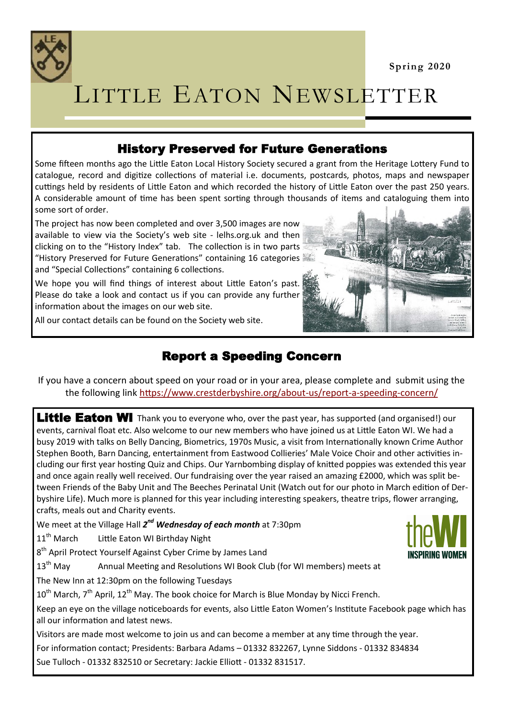

## LITTLE EATON NEWSLETTER

## History Preserved for Future Generations

Some fifteen months ago the Little Eaton Local History Society secured a grant from the Heritage Lottery Fund to catalogue, record and digitize collections of material i.e. documents, postcards, photos, maps and newspaper cuttings held by residents of Little Eaton and which recorded the history of Little Eaton over the past 250 years. A considerable amount of time has been spent sorting through thousands of items and cataloguing them into some sort of order.

The project has now been completed and over 3,500 images are now available to view via the Society's web site - lelhs.org.uk and then clicking on to the "History Index" tab. The collection is in two parts "History Preserved for Future Generations" containing 16 categories and "Special Collections" containing 6 collections.

We hope you will find things of interest about Little Eaton's past. Please do take a look and contact us if you can provide any further information about the images on our web site.

All our contact details can be found on the Society web site.



## Report a Speeding Concern

If you have a concern about speed on your road or in your area, please complete and submit using the the following link [https://www.crestderbyshire.org/about](https://www.crestderbyshire.org/about-us/report-a-speeding-concern/)-us/report-a-speeding-concern/

Little Eaton WI Thank you to everyone who, over the past year, has supported (and organised!) our events, carnival float etc. Also welcome to our new members who have joined us at Little Eaton WI. We had a busy 2019 with talks on Belly Dancing, Biometrics, 1970s Music, a visit from Internationally known Crime Author Stephen Booth, Barn Dancing, entertainment from Eastwood Collieries' Male Voice Choir and other activities including our first year hosting Quiz and Chips. Our Yarnbombing display of knitted poppies was extended this year and once again really well received. Our fundraising over the year raised an amazing £2000, which was split between Friends of the Baby Unit and The Beeches Perinatal Unit (Watch out for our photo in March edition of Derbyshire Life). Much more is planned for this year including interesting speakers, theatre trips, flower arranging, crafts, meals out and Charity events.

We meet at the Village Hall 2<sup>nd</sup> Wednesday of each month at 7:30pm

11<sup>th</sup> March Little Eaton WI Birthday Night

8<sup>th</sup> April Protect Yourself Against Cyber Crime by James Land

13<sup>th</sup> May Annual Meeting and Resolutions WI Book Club (for WI members) meets at

The New Inn at 12:30pm on the following Tuesdays

 $10^{th}$  March,  $7^{th}$  April,  $12^{th}$  May. The book choice for March is Blue Monday by Nicci French.

Keep an eye on the village noticeboards for events, also Little Eaton Women's Institute Facebook page which has all our information and latest news.

Visitors are made most welcome to join us and can become a member at any time through the year.

For information contact; Presidents: Barbara Adams – 01332 832267, Lynne Siddons - 01332 834834

Sue Tulloch - 01332 832510 or Secretary: Jackie Elliott - 01332 831517.

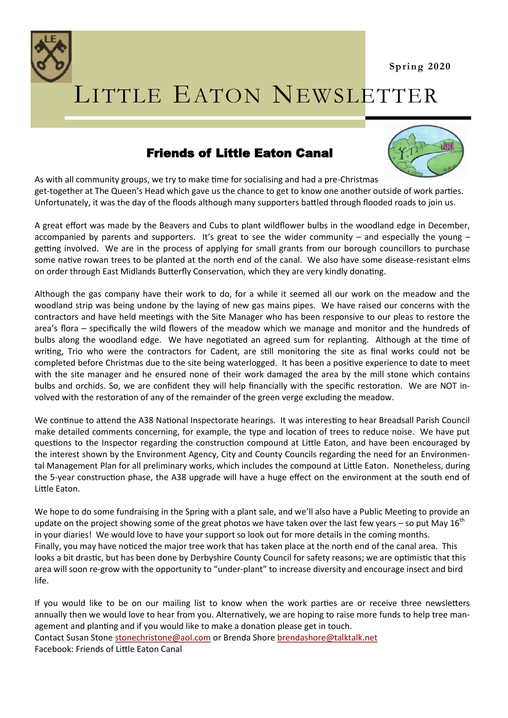



## LITTLE EATON NEWSLETTER

## Friends of Little Eaton Canal



As with all community groups, we try to make time for socialising and had a pre-Christmas get-together at The Queen's Head which gave us the chance to get to know one another outside of work parties. Unfortunately, it was the day of the floods although many supporters battled through flooded roads to join us.

A great effort was made by the Beavers and Cubs to plant wildflower bulbs in the woodland edge in December, accompanied by parents and supporters. It's great to see the wider community – and especially the young – getting involved. We are in the process of applying for small grants from our borough councillors to purchase some native rowan trees to be planted at the north end of the canal. We also have some disease-resistant elms on order through East Midlands Butterfly Conservation, which they are very kindly donating.

Although the gas company have their work to do, for a while it seemed all our work on the meadow and the woodland strip was being undone by the laying of new gas mains pipes. We have raised our concerns with the contractors and have held meetings with the Site Manager who has been responsive to our pleas to restore the area's flora – specifically the wild flowers of the meadow which we manage and monitor and the hundreds of bulbs along the woodland edge. We have negotiated an agreed sum for replanting. Although at the time of writing, Trio who were the contractors for Cadent, are still monitoring the site as final works could not be completed before Christmas due to the site being waterlogged. It has been a positive experience to date to meet with the site manager and he ensured none of their work damaged the area by the mill stone which contains bulbs and orchids. So, we are confident they will help financially with the specific restoration. We are NOT involved with the restoration of any of the remainder of the green verge excluding the meadow.

We continue to attend the A38 National Inspectorate hearings. It was interesting to hear Breadsall Parish Council make detailed comments concerning, for example, the type and location of trees to reduce noise. We have put questions to the Inspector regarding the construction compound at Little Eaton, and have been encouraged by the interest shown by the Environment Agency, City and County Councils regarding the need for an Environmental Management Plan for all preliminary works, which includes the compound at Little Eaton. Nonetheless, during the 5-year construction phase, the A38 upgrade will have a huge effect on the environment at the south end of Little Eaton.

We hope to do some fundraising in the Spring with a plant sale, and we'll also have a Public Meeting to provide an update on the project showing some of the great photos we have taken over the last few years – so put May  $16<sup>th</sup>$ in your diaries! We would love to have your support so look out for more details in the coming months. Finally, you may have noticed the major tree work that has taken place at the north end of the canal area. This looks a bit drastic, but has been done by Derbyshire County Council for safety reasons; we are optimistic that this area will soon re-grow with the opportunity to "under-plant" to increase diversity and encourage insect and bird life.

If you would like to be on our mailing list to know when the work parties are or receive three newsletters annually then we would love to hear from you. Alternatively, we are hoping to raise more funds to help tree management and planting and if you would like to make a donation please get in touch. Contact Susan Stone [stonechristone@aol.com](mailto:stonechristone@aol.com) or Brenda Shore [brendashore@talktalk.net](mailto:brendashore@talktalk.net) Facebook: Friends of Little Eaton Canal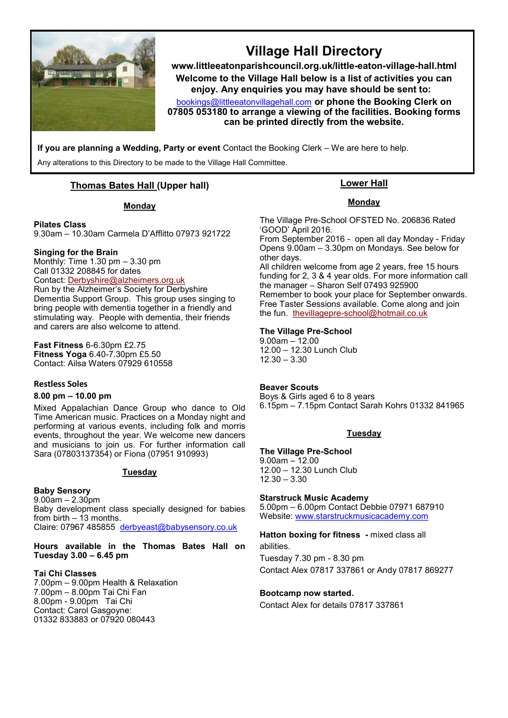

## **Village Hall Directory**

**www.littleeatonparishcouncil.org.uk/little-eaton-village-hall.html Welcome to the Village Hall below is a list** of **activities you can enjoy. Any enquiries you may have should be sent to:**

[bookings@littleeatonvillagehall.com](mailto:bookings@littleeatonvillagehall.com) **or phone the Booking Clerk on 07805 053180 to arrange a viewing of the facilities. Booking forms can be printed directly from the website.** 

**If you are planning a Wedding, Party or event** Contact the Booking Clerk – We are here to help.

Any alterations to this Directory to be made to the Village Hall Committee.

#### **Thomas Bates Hall (Upper hall)**

#### **Monday**

#### **Pilates Class**

9.30am – 10.30am Carmela D'Afflitto 07973 921722

#### **Singing for the Brain**

Monthly: Time 1.30 pm – 3.30 pm Call 01332 208845 for dates Contact: [Derbyshire@alzheimers.org.uk](mailto:Derbyshire@alzheimers.org.uk) Run by the Alzheimer's Society for Derbyshire Dementia Support Group. This group uses singing to bring people with dementia together in a friendly and stimulating way. People with dementia, their friends and carers are also welcome to attend.

**Fast Fitness** 6-6.30pm £2.75 **Fitness Yoga** 6.40-7.30pm £5.50 Contact: Ailsa Waters 07929 610558

#### **Restless Soles**

#### **8.00 pm – 10.00 pm**

Mixed Appalachian Dance Group who dance to Old Time American music. Practices on a Monday night and performing at various events, including folk and morris events, throughout the year. We welcome new dancers and musicians to join us. For further information call Sara (07803137354) or Fiona (07951 910993)

#### **Tuesday**

#### **Baby Sensory**

 $9.00$ am – 2.30pm Baby development class specially designed for babies from birth  $-13$  months. Claire: 07967 485855 [derbyeast@babysensory.co.uk](mailto:derbyeast@babysensory.co.uk)

**Hours available in the Thomas Bates Hall on Tuesday 3.00 – 6.45 pm**

#### **Tai Chi Classes**

7.00pm – 9.00pm Health & Relaxation 7.00pm – 8.00pm Tai Chi Fan 8.00pm - 9.00pm Tai Chi Contact: Carol Gasgoyne: 01332 833883 or 07920 080443

#### **Lower Hall**

#### **Monday**

The Village Pre-School OFSTED No. 206836 Rated 'GOOD' April 2016.

From September 2016 - open all day Monday - Friday Opens 9.00am – 3.30pm on Mondays. See below for other days.

All children welcome from age 2 years, free 15 hours funding for 2, 3 & 4 year olds. For more information call the manager – Sharon Self 07493 925900 Remember to book your place for September onwards. Free Taster Sessions available. Come along and join the fun. thevillagepre-[school@hotmail.co.uk](mailto:thevillagepre-school@hotmail.co.uk)

#### **The Village Pre-School**

9.00am – 12.00 12.00 – 12.30 Lunch Club 12.30 – 3.30

#### **Beaver Scouts**

Boys & Girls aged 6 to 8 years 6.15pm – 7.15pm Contact Sarah Kohrs 01332 841965

#### **Tuesday**

#### **The Village Pre-School**

9.00am – 12.00 12.00 – 12.30 Lunch Club 12.30 – 3.30

#### **Starstruck Music Academy**

5.00pm – 6.00pm Contact Debbie 07971 687910 Website: [www.starstruckmusicacademy.com](http://www.starstruckmusicacademy.com)

**Hatton boxing for fitness -** mixed class all abilities.

Tuesday 7.30 pm - 8.30 pm Contact Alex 07817 337861 or Andy 07817 869277

#### **Bootcamp now started.**

Contact Alex for details 07817 337861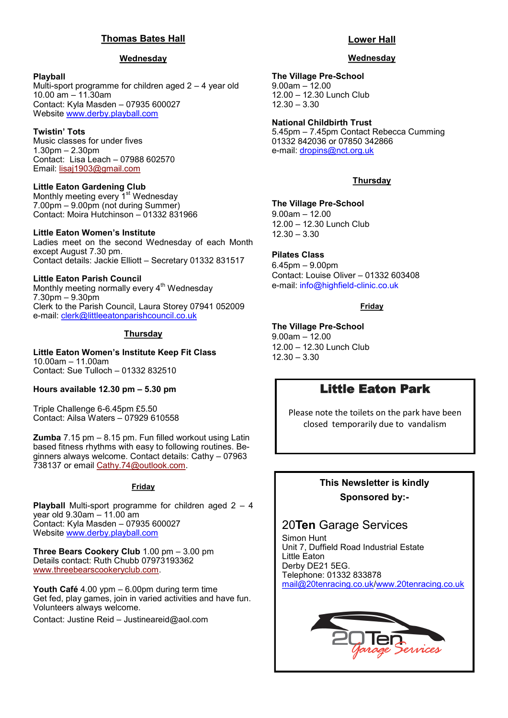#### **Thomas Bates Hall**

#### **Wednesday**

#### **Playball**

Multi-sport programme for children aged 2 – 4 year old 10.00 am – 11.30am Contact: Kyla Masden – 07935 600027 Website [www.derby.playball.com](http://www.derby.playball.com)

#### **Twistin' Tots**

Music classes for under fives 1.30pm – 2.30pm Contact: Lisa Leach – 07988 602570 Email: [lisaj1903@gmail.com](mailto:lisaj1903@gmail.com)

#### **Little Eaton Gardening Club**

Monthly meeting every 1<sup>st</sup> Wednesday 7.00pm – 9.00pm (not during Summer) Contact: Moira Hutchinson – 01332 831966

#### **Little Eaton Women's Institute**

Ladies meet on the second Wednesday of each Month except August 7.30 pm. Contact details: Jackie Elliott – Secretary 01332 831517

#### **Little Eaton Parish Council**

Monthly meeting normally every  $4<sup>th</sup>$  Wednesday 7.30pm – 9.30pm Clerk to the Parish Council, Laura Storey 07941 052009 e-mail: [clerk@littleeatonparishcouncil.co.uk](mailto:clerk@littleeatonparishcouncil.co.uk)

#### **Thursday**

**Little Eaton Women's Institute Keep Fit Class** 10.00am – 11.00am Contact: Sue Tulloch – 01332 832510

#### **Hours available 12.30 pm – 5.30 pm**

Triple Challenge 6-6.45pm £5.50 Contact: Ailsa Waters – 07929 610558

**Zumba** 7.15 pm – 8.15 pm. Fun filled workout using Latin based fitness rhythms with easy to following routines. Beginners always welcome. Contact details: Cathy – 07963 738137 or email [Cathy.74@outlook.com.](mailto:Cathy.74@outlook.com)

#### **Friday**

**Playball** Multi-sport programme for children aged 2 – 4 year old 9.30am – 11.00 am Contact: Kyla Masden – 07935 600027 Website [www.derby.playball.com](http://www.derby.playball.com)

**Three Bears Cookery Club** 1.00 pm – 3.00 pm Details contact: Ruth Chubb 07973193362 [www.threebearscookeryclub.com.](http://www.threebearscookeryclub.com)

**Youth Café** 4.00 ypm – 6.00pm during term time Get fed, play games, join in varied activities and have fun. Volunteers always welcome.

Contact: Justine Reid – [Justineareid@aol.com](mailto:Justineareid@aol.com)

#### **Lower Hall**

#### **Wednesday**

#### **The Village Pre-School**

9.00am – 12.00 12.00 – 12.30 Lunch Club 12.30 – 3.30

## **National Childbirth Trust**

5.45pm – 7.45pm Contact Rebecca Cumming 01332 842036 or 07850 342866 e-mail: [dropins@nct.org.uk](mailto:dropins@nct.org.uk)

#### **Thursday**

#### **The Village Pre-School**

9.00am – 12.00 12.00 – 12.30 Lunch Club 12.30 – 3.30

#### **Pilates Class**

6.45pm – 9.00pm Contact: Louise Oliver – 01332 603408 e-mail: info@highfield-clinic.co.uk

#### **Friday**

#### **The Village Pre-School**

9.00am – 12.00 12.00 – 12.30 Lunch Club 12.30 – 3.30

### Little Eaton Park

Please note the toilets on the park have been closed temporarily due to vandalism

### **This Newsletter is kindly Sponsored by:-**

### 20**Ten** Garage Services

Simon Hunt Unit 7, Duffield Road Industrial Estate Little Eaton Derby DE21 5EG. Telephone: 01332 833878 [mail@20tenracing.co.uk/](mailto:mail@20tenracing.co.uk)[www.20tenracing.co.uk](http://www.20tenracing.co.uk/)

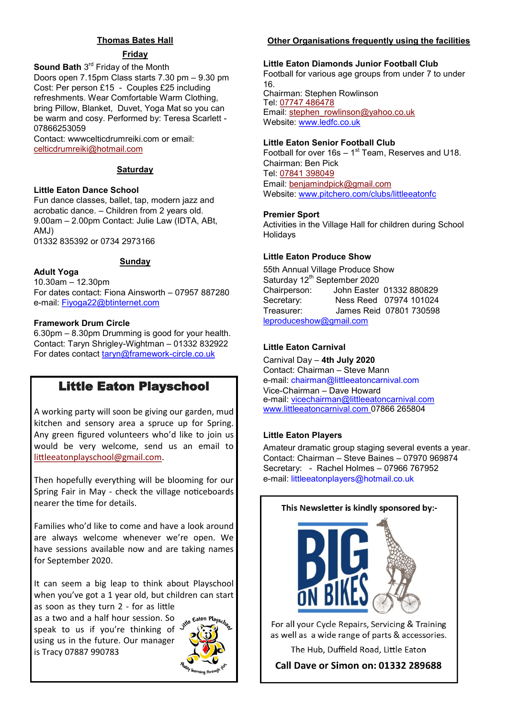#### **Thomas Bates Hall**

#### **Friday**

**Sound Bath** 3<sup>rd</sup> Friday of the Month Doors open 7.15pm Class starts 7.30 pm – 9.30 pm Cost: Per person £15 - Couples £25 including refreshments. Wear Comfortable Warm Clothing, bring Pillow, Blanket, Duvet, Yoga Mat so you can be warm and cosy. Performed by: Teresa Scarlett - 07866253059

Contact: wwwcelticdrumreiki.com or email: [celticdrumreiki@hotmail.com](mailto:celticdrumreiki@hotmail.com)

#### **Saturday**

#### **Little Eaton Dance School**

Fun dance classes, ballet, tap, modern jazz and acrobatic dance. – Children from 2 years old. 9.00am – 2.00pm Contact: Julie Law (IDTA, ABt, AMJ)

01332 835392 or 0734 2973166

#### **Sunday**

#### **Adult Yoga**

10.30am – 12.30pm For dates contact: Fiona Ainsworth – 07957 887280 e-mail: Fiyoga22@btinternet.com

#### **Framework Drum Circle**

6.30pm – 8.30pm Drumming is good for your health. Contact: Taryn Shrigley-Wightman – 01332 832922 For dates contact taryn@framework-circle.co.uk

## Little Eaton Playschool

A working party will soon be giving our garden, mud kitchen and sensory area a spruce up for Spring. Any green figured volunteers who'd like to join us would be very welcome, send us an email to [littleeatonplayschool@gmail.com.](mailto:littleeatonplayschool@gmail.com)

Then hopefully everything will be blooming for our Spring Fair in May - check the village noticeboards nearer the time for details.

Families who'd like to come and have a look around are always welcome whenever we're open. We have sessions available now and are taking names for September 2020.

It can seem a big leap to think about Playschool when you've got a 1 year old, but children can start as soon as they turn 2 - for as little

as a two and a half hour session. So speak to us if you're thinking of using us in the future. Our manager is Tracy 07887 990783



#### **Other Organisations frequently using the facilities**

#### **Little Eaton Diamonds Junior Football Club**

Football for various age groups from under 7 to under 16. Chairman: Stephen Rowlinson Tel: [07747 486478](tel:07747486478) Email: [stephen\\_rowlinson@yahoo.co.uk](mailto:stephen_rowlinson@yahoo.co.uk) Website: www.ledfc.co.uk

#### **Little Eaton Senior Football Club**

Football for over  $16s - 1<sup>st</sup>$  Team, Reserves and U18. Chairman: Ben Pick Tel: [07841 398049](tel:07841398049) Email: [benjamindpick@gmail.com](mailto:benjamindpick@gmail.com) Website: www.pitchero.com/clubs/littleeatonfc

#### **Premier Sport**

Activities in the Village Hall for children during School Holidays

#### **Little Eaton Produce Show**

55th Annual Village Produce Show Saturday 12<sup>th</sup> September 2020 Chairperson: John Easter 01332 880829 Secretary: Ness Reed 07974 101024 Treasurer: James Reid 07801 730598 [leproduceshow@gmail.com](mailto:leproduceshow@gmail.com)

#### **Little Eaton Carnival**

Carnival Day – **4th July 2020** Contact: Chairman – Steve Mann e-mail: chairman@littleeatoncarnival.com Vice-Chairman – Dave Howard e-mail: [vicechairman@littleeatoncarnival.com](mailto:vicechairman@littleeatoncarnival.com) [www.littleeatoncarnival.com 0](http://www.littleeatoncarnival.com)7866 265804

#### **Little Eaton Players**

Amateur dramatic group staging several events a year. Contact: Chairman – Steve Baines – 07970 969874 Secretary: - Rachel Holmes – 07966 767952 e-mail: littleeatonplayers@hotmail.co.uk

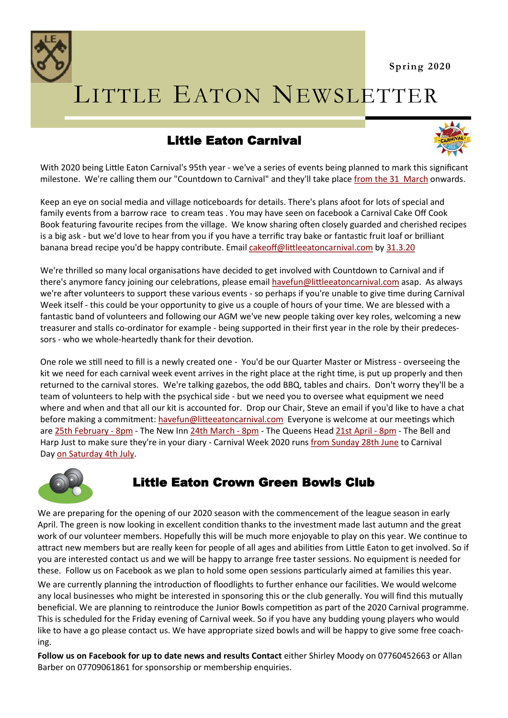

# LITTLE EATON NEWSLETTER

## Little Eaton Carnival



With 2020 being Little Eaton Carnival's 95th year - we've a series of events being planned to mark this significant milestone. We're calling them our "Countdown to Carnival" and they'll take place [from the 31 March](x-apple-data-detectors://3) onwards.

Keep an eye on social media and village noticeboards for details. There's plans afoot for lots of special and family events from a barrow race to cream teas . You may have seen on facebook a Carnival Cake Off Cook Book featuring favourite recipes from the village. We know sharing often closely guarded and cherished recipes is a big ask - but we'd love to hear from you if you have a terrific tray bake or fantastic fruit loaf or brilliant banana bread recipe you'd be happy contribute. Email [cakeoff@littleeatoncarnival.com](mailto:cakeoff@littleeatoncarnival.com) by [31.3.20](x-apple-data-detectors://6)

We're thrilled so many local organisations have decided to get involved with Countdown to Carnival and if there's anymore fancy joining our celebrations, please email [havefun@littleeatoncarnival.com](mailto:havefun@littleeatoncarnival.com) asap. As always we're after volunteers to support these various events - so perhaps if you're unable to give time during Carnival Week itself - this could be your opportunity to give us a couple of hours of your time. We are blessed with a fantastic band of volunteers and following our AGM we've new people taking over key roles, welcoming a new treasurer and stalls co-ordinator for example - being supported in their first year in the role by their predecessors - who we whole-heartedly thank for their devotion.

One role we still need to fill is a newly created one - You'd be our Quarter Master or Mistress - overseeing the kit we need for each carnival week event arrives in the right place at the right time, is put up properly and then returned to the carnival stores. We're talking gazebos, the odd BBQ, tables and chairs. Don't worry they'll be a team of volunteers to help with the psychical side - but we need you to oversee what equipment we need where and when and that all our kit is accounted for. Drop our Chair, Steve an email if you'd like to have a chat before making a commitment: [havefun@litteeatoncarnival.com](mailto:havefun@litteeatoncarnival.com) Everyone is welcome at our meetings which are [25th February](x-apple-data-detectors://9) - 8pm - The New Inn [24th March](x-apple-data-detectors://10) - 8pm - The Queens Head [21st April](x-apple-data-detectors://11) - 8pm - The Bell and Harp Just to make sure they're in your diary - Carnival Week 2020 runs [from Sunday 28th June](x-apple-data-detectors://12) to Carnival Day [on Saturday 4th July.](x-apple-data-detectors://13)



## Little Eaton Crown Green Bowls Club

We are preparing for the opening of our 2020 season with the commencement of the league season in early April. The green is now looking in excellent condition thanks to the investment made last autumn and the great work of our volunteer members. Hopefully this will be much more enjoyable to play on this year. We continue to attract new members but are really keen for people of all ages and abilities from Little Eaton to get involved. So if you are interested contact us and we will be happy to arrange free taster sessions. No equipment is needed for these. Follow us on Facebook as we plan to hold some open sessions particularly aimed at families this year.

We are currently planning the introduction of floodlights to further enhance our facilities. We would welcome any local businesses who might be interested in sponsoring this or the club generally. You will find this mutually beneficial. We are planning to reintroduce the Junior Bowls competition as part of the 2020 Carnival programme. This is scheduled for the Friday evening of Carnival week. So if you have any budding young players who would like to have a go please contact us. We have appropriate sized bowls and will be happy to give some free coaching.

**Follow us on Facebook for up to date news and results Contact** either Shirley Moody on 07760452663 or Allan Barber on 07709061861 for sponsorship or membership enquiries.